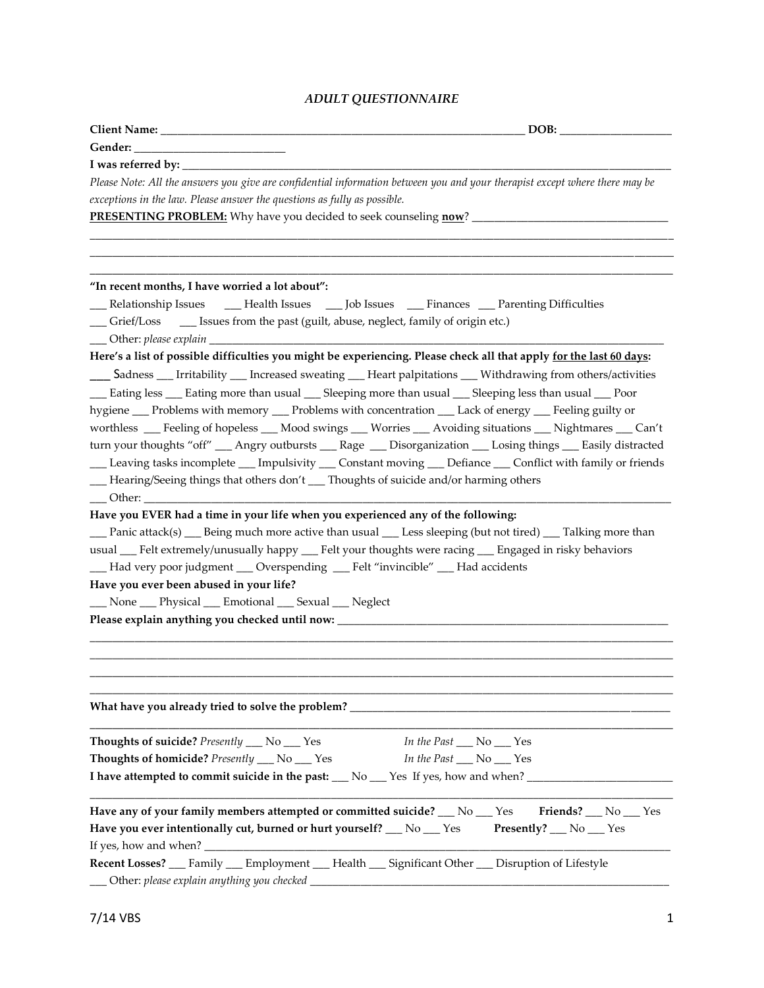## *ADULT QUESTIONNAIRE*

| Please Note: All the answers you give are confidential information between you and your therapist except where there may be |                          |
|-----------------------------------------------------------------------------------------------------------------------------|--------------------------|
| exceptions in the law. Please answer the questions as fully as possible.                                                    |                          |
|                                                                                                                             |                          |
|                                                                                                                             |                          |
|                                                                                                                             |                          |
|                                                                                                                             |                          |
| "In recent months, I have worried a lot about":                                                                             |                          |
| __ Relationship Issues _____ Health Issues ____ Job Issues ____ Finances ____ Parenting Difficulties                        |                          |
| __ Grief/Loss __ __ Issues from the past (guilt, abuse, neglect, family of origin etc.)                                     |                          |
|                                                                                                                             |                          |
| Here's a list of possible difficulties you might be experiencing. Please check all that apply for the last 60 days:         |                          |
| ___ Sadness ___ Irritability ___ Increased sweating ___ Heart palpitations ___ Withdrawing from others/activities           |                          |
| __ Eating less __ Eating more than usual __ Sleeping more than usual __ Sleeping less than usual __ Poor                    |                          |
| hygiene __ Problems with memory __ Problems with concentration __ Lack of energy __ Feeling guilty or                       |                          |
| worthless __Feeling of hopeless __Mood swings __Worries __Avoiding situations __Nightmares __Can't                          |                          |
| turn your thoughts "off" __ Angry outbursts __ Rage __ Disorganization __ Losing things __ Easily distracted                |                          |
| __ Leaving tasks incomplete __ Impulsivity __ Constant moving __ Defiance __ Conflict with family or friends                |                          |
| - Hearing/Seeing things that others don't __ Thoughts of suicide and/or harming others                                      |                          |
|                                                                                                                             |                          |
| Have you EVER had a time in your life when you experienced any of the following:                                            |                          |
| Panic attack(s) Seing much more active than usual Sessisteping (but not tired) Salking more than                            |                          |
| usual __Felt extremely/unusually happy __Felt your thoughts were racing __ Engaged in risky behaviors                       |                          |
| __Had very poor judgment __Overspending __Felt "invincible" __Had accidents                                                 |                          |
| Have you ever been abused in your life?                                                                                     |                          |
| __ None __ Physical __ Emotional __ Sexual __ Neglect                                                                       |                          |
| Please explain anything you checked until now: _________________________________                                            |                          |
|                                                                                                                             |                          |
|                                                                                                                             |                          |
|                                                                                                                             |                          |
|                                                                                                                             |                          |
|                                                                                                                             |                          |
|                                                                                                                             |                          |
| Thoughts of suicide? Presently __ No __ Yes                                                                                 | In the Past __ No __ Yes |
| Thoughts of homicide? Presently __ No __ Yes                                                                                | In the Past __ No __ Yes |
| I have attempted to commit suicide in the past: __ No __ Yes If yes, how and when? ________                                 |                          |
|                                                                                                                             |                          |
| Have any of your family members attempted or committed suicide? $\_\_$ No $\_\_$ Yes                                        | Friends? __ No __ Yes    |
| Have you ever intentionally cut, burned or hurt yourself? __ No __ Yes Presently? __ No __ Yes                              |                          |
|                                                                                                                             |                          |
| Recent Losses? __ Family __ Employment __ Health __ Significant Other __ Disruption of Lifestyle                            |                          |
| ___ Other: please explain anything you checked _________                                                                    |                          |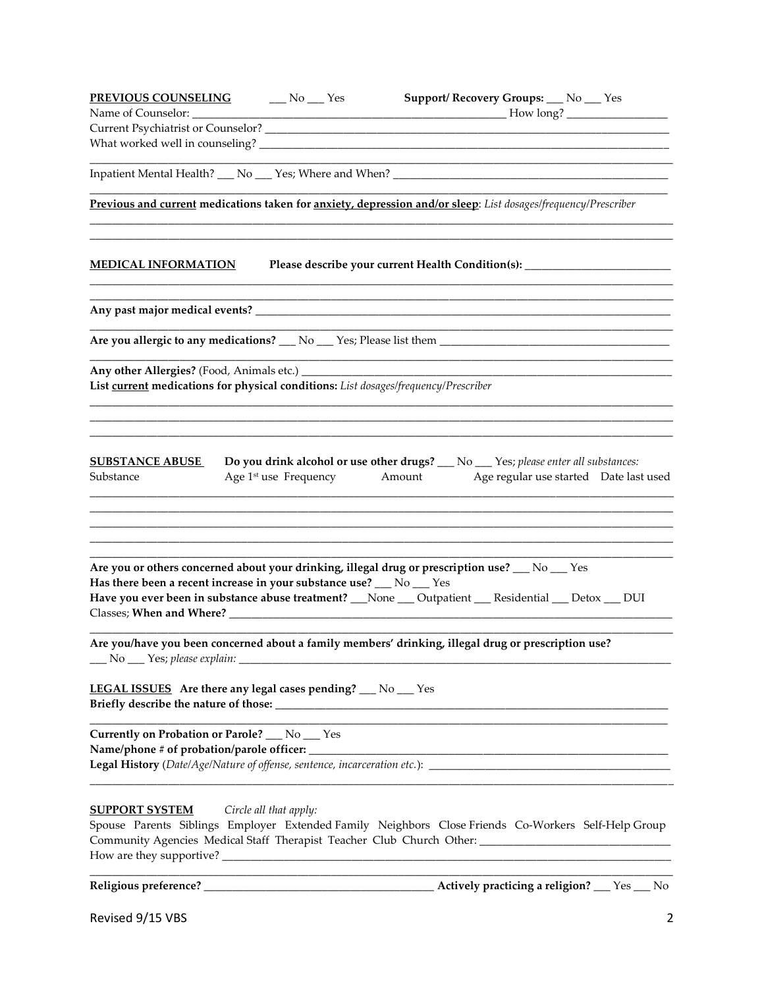| <b>PREVIOUS COUNSELING</b> No Nes                                                                       | Support/ Recovery Groups: __ No __ Yes                                                                                                                                    |
|---------------------------------------------------------------------------------------------------------|---------------------------------------------------------------------------------------------------------------------------------------------------------------------------|
| Name of Counselor: ___________                                                                          |                                                                                                                                                                           |
|                                                                                                         |                                                                                                                                                                           |
|                                                                                                         |                                                                                                                                                                           |
| Inpatient Mental Health? ___ No ___ Yes; Where and When? ________________________                       |                                                                                                                                                                           |
|                                                                                                         | Previous and current medications taken for anxiety, depression and/or sleep: List dosages/frequency/Prescriber                                                            |
|                                                                                                         |                                                                                                                                                                           |
| <b>MEDICAL INFORMATION</b>                                                                              | Please describe your current Health Condition(s): ________                                                                                                                |
|                                                                                                         |                                                                                                                                                                           |
|                                                                                                         |                                                                                                                                                                           |
|                                                                                                         | Are you allergic to any medications? 10 10 2 Yes; Please list them                                                                                                        |
|                                                                                                         |                                                                                                                                                                           |
| List current medications for physical conditions: List dosages/frequency/Prescriber                     |                                                                                                                                                                           |
|                                                                                                         |                                                                                                                                                                           |
|                                                                                                         |                                                                                                                                                                           |
| <b>SUBSTANCE ABUSE</b><br>Substance                                                                     | Do you drink alcohol or use other drugs? __ No __ Yes; please enter all substances:<br>Age 1 <sup>st</sup> use Frequency Amount<br>Age regular use started Date last used |
|                                                                                                         |                                                                                                                                                                           |
|                                                                                                         |                                                                                                                                                                           |
|                                                                                                         |                                                                                                                                                                           |
| Are you or others concerned about your drinking, illegal drug or prescription use? $\_\_$ No $\_\_$ Yes |                                                                                                                                                                           |
| Has there been a recent increase in your substance use? __ No __ Yes                                    |                                                                                                                                                                           |
|                                                                                                         | Have you ever been in substance abuse treatment? __None __ Outpatient __ Residential __ Detox __ DUI                                                                      |
|                                                                                                         |                                                                                                                                                                           |
| __ No __ Yes; please explain: _________________                                                         | Are you/have you been concerned about a family members' drinking, illegal drug or prescription use?                                                                       |
|                                                                                                         |                                                                                                                                                                           |
| LEGAL ISSUES Are there any legal cases pending? __ No __ Yes                                            |                                                                                                                                                                           |
| Currently on Probation or Parole? __ No __ Yes                                                          |                                                                                                                                                                           |
| Name/phone # of probation/parole officer: ____                                                          |                                                                                                                                                                           |
|                                                                                                         |                                                                                                                                                                           |
| <b>SUPPORT SYSTEM</b><br>Circle all that apply:                                                         |                                                                                                                                                                           |
|                                                                                                         | Spouse Parents Siblings Employer Extended Family Neighbors Close Friends Co-Workers Self-Help Group                                                                       |
|                                                                                                         | Community Agencies Medical Staff Therapist Teacher Club Church Other: ______________________________                                                                      |
|                                                                                                         |                                                                                                                                                                           |
| Religious preference? _                                                                                 | Actively practicing a religion?<br>Yes<br>N <sub>0</sub>                                                                                                                  |

Revised 9/15 VBS 2